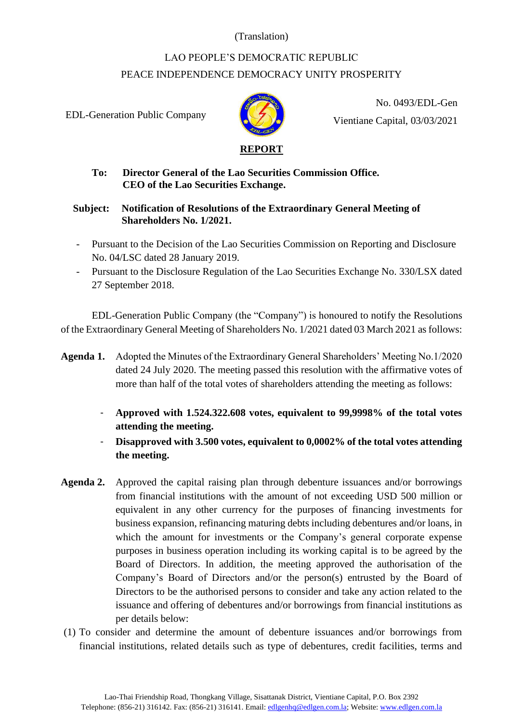## (Translation)

## LAO PEOPLE'S DEMOCRATIC REPUBLIC PEACE INDEPENDENCE DEMOCRACY UNITY PROSPERITY

EDL-Generation Public Company



No. 0493/EDL-Gen Vientiane Capital, 03/03/2021

## **To: Director General of the Lao Securities Commission Office. CEO of the Lao Securities Exchange.**

## **Subject: Notification of Resolutions of the Extraordinary General Meeting of Shareholders No. 1/2021.**

- Pursuant to the Decision of the Lao Securities Commission on Reporting and Disclosure No. 04/LSC dated 28 January 2019.
- Pursuant to the Disclosure Regulation of the Lao Securities Exchange No. 330/LSX dated 27 September 2018.

EDL-Generation Public Company (the "Company") is honoured to notify the Resolutions of the Extraordinary General Meeting of Shareholders No. 1/2021 dated 03 March 2021 as follows:

- **Agenda 1.** Adopted the Minutes of the Extraordinary General Shareholders' Meeting No.1/2020 dated 24 July 2020. The meeting passed this resolution with the affirmative votes of more than half of the total votes of shareholders attending the meeting as follows:
	- **Approved with 1.524.322.608 votes, equivalent to 99,9998% of the total votes attending the meeting.**
	- Disapproved with 3.500 votes, equivalent to 0,0002% of the total votes attending **the meeting.**
- **Agenda 2.** Approved the capital raising plan through debenture issuances and/or borrowings from financial institutions with the amount of not exceeding USD 500 million or equivalent in any other currency for the purposes of financing investments for business expansion, refinancing maturing debts including debentures and/or loans, in which the amount for investments or the Company's general corporate expense purposes in business operation including its working capital is to be agreed by the Board of Directors. In addition, the meeting approved the authorisation of the Company's Board of Directors and/or the person(s) entrusted by the Board of Directors to be the authorised persons to consider and take any action related to the issuance and offering of debentures and/or borrowings from financial institutions as per details below:
- (1) To consider and determine the amount of debenture issuances and/or borrowings from financial institutions, related details such as type of debentures, credit facilities, terms and